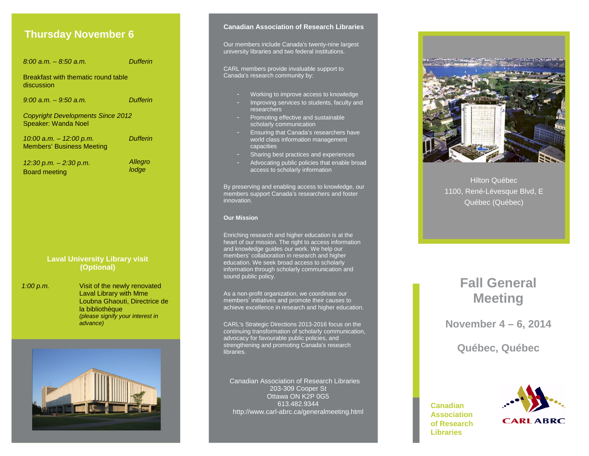### **Thursday November 6**

*8:00 a.m. – 8:50 a.m. Dufferin* Breakfast with thematic round table discussion *9:00 a.m. – 9:50 a.m. Dufferin Copyright Developments Since 2012* Speaker: Wanda Noel *10:00 a.m. – 12:00 p.m.* Members' Business Meeting *Dufferin 12:30 p.m. – 2:30 p.m.* Board meeting *Allegro lodge* **Laval University Library visit (Optional)** *1:00 p.m.* Visit of the newly renovated Laval Library with Mme Loubna Ghaouti, Directrice de la bibliothèque *(please signify your interest in advance)*

#### **Canadian Association of Research Libraries**

Our members include Canada's twenty-nine largest university libraries and two federal institutions.

CARL members provide invaluable support to Canada's research community by:

- Working to improve access to knowledge
- Improving services to students, faculty and researchers
- Promoting effective and sustainable scholarly communication
- Ensuring that Canada's researchers have world class information management capacities
- Sharing best practices and experiences
- Advocating public policies that enable broad access to scholarly information

By preserving and enabling access to knowledge, our members support Canada's researchers and foster innovation.

#### **Our Mission**

Enriching research and higher education is at the heart of our mission. The right to access information and knowledge guides our work. We help our members' collaboration in research and higher education. We seek broad access to scholarly information through scholarly communication and sound public policy.

As a non-profit organization, we coordinate our members' initiatives and promote their causes to achieve excellence in research and higher education.

CARL's Strategic Directions 2013-2016 focus on the continuing transformation of scholarly communication, advocacy for favourable public policies, and strengthening and promoting Canada's research libraries.

Canadian Association of Research Libraries 203-309 Cooper St Ottawa ON K2P 0G5 613.482.9344 http://www.carl-abrc.ca/generalmeeting.html



Hilton Québec 1100, René-Lévesque Blvd, E Québec (Québec)

# **Fall General Meeting**

**November 4 – 6, 2014**

**Québec, Québec**

**Canadian Association of Research Libraries**